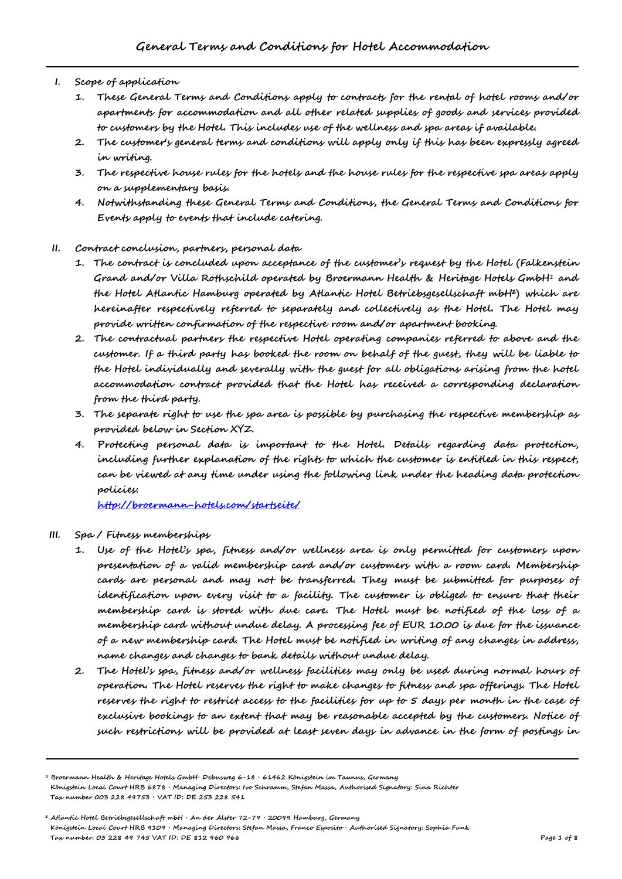- **I. Scope of application**
	- **1. These General Terms and Conditions apply to contracts for the rental of hotel rooms and/or apartments for accommodation and all other related supplies of goods and services provided to customers by the Hotel. This includes use of the wellness and spa areas if available.**
	- **2. The customer's general terms and conditions will apply only if this has been expressly agreed in writing.**
	- **3. The respective house rules for the hotels and the house rules for the respective spa areas apply on a supplementary basis.**
	- **4. Notwithstanding these General Terms and Conditions, the General Terms and Conditions for Events apply to events that include catering.**
- **II. Contract conclusion, partners, personal data**
	- **1. The contract is concluded upon acceptance of the customer's request by the Hotel (Falkenstein Grand and/or Villa Rothschild operated by Broermann Health & Heritage Hotels GmbH1 and the Hotel Atlantic Hamburg operated by Atlantic Hotel Betriebsgesellschaft mbH²) which are hereinafter respectively referred to separately and collectively as the Hotel. The Hotel may provide written confirmation of the respective room and/or apartment booking.**
	- **2. The contractual partners the respective Hotel operating companies referred to above and the customer. If a third party has booked the room on behalf of the guest, they will be liable to the Hotel individually and severally with the guest for all obligations arising from the hotel accommodation contract provided that the Hotel has received a corresponding declaration from the third party.**
	- **3. The separate right to use the spa area is possible by purchasing the respective membership as provided below in Section XYZ.**
	- **4. Protecting personal data is important to the Hotel. Details regarding data protection, including further explanation of the rights to which the customer is entitled in this respect, can be viewed at any time under using the following link under the heading data protection policies:**

**http://broermann-hotels.com/startseite/**

- **III. Spa / Fitness memberships**
	- **1. Use of the Hotel's spa, fitness and/or wellness area is only permitted for customers upon presentation of a valid membership card and/or customers with a room card. Membership cards are personal and may not be transferred. They must be submitted for purposes of identification upon every visit to a facility. The customer is obliged to ensure that their membership card is stored with due care. The Hotel must be notified of the loss of a membership card without undue delay. A processing fee of EUR 10.00 is due for the issuance of a new membership card. The Hotel must be notified in writing of any changes in address, name changes and changes to bank details without undue delay.**
	- **2. The Hotel's spa, fitness and/or wellness facilities may only be used during normal hours of operation. The Hotel reserves the right to make changes to fitness and spa offerings. The Hotel reserves the right to restrict access to the facilities for up to 5 days per month in the case of exclusive bookings to an extent that may be reasonable accepted by the customers. Notice of such restrictions will be provided at least seven days in advance in the form of postings in**

**<sup>1</sup> Broermann Health & Heritage Hotels GmbH**¬ **Debusweg 6-18** ¬ **61462 Königstein im Taunus, Germany Königstein Local Court HRB 6878** ¬ **Managing Directors: Ivo Schramm, Stefan Massa, Authorised Signatory: Sina Richter Tax number 003 228 49753** ¬ **VAT ID: DE 253 228 541**

**² Atlantic Hotel Betriebsgesellschaft mbH** ¬ **An der Alster 72-79** ¬ **20099 Hamburg, Germany Königstein Local Court HRB 9109** ¬ **Managing Directors: Stefan Massa, Franco Esposito** ¬ **Authorised Signatory: Sophia Funk Tax number: 03 228 49 745 VAT ID: DE 812 960 966 Page 1 of 8**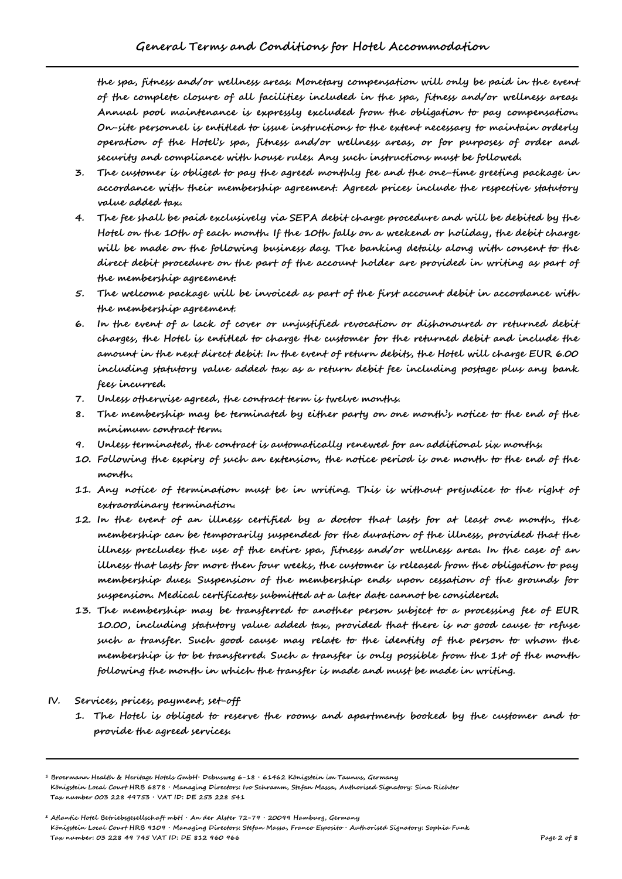**the spa, fitness and/or wellness areas. Monetary compensation will only be paid in the event of the complete closure of all facilities included in the spa, fitness and/or wellness areas. Annual pool maintenance is expressly excluded from the obligation to pay compensation. On-site personnel is entitled to issue instructions to the extent necessary to maintain orderly operation of the Hotel's spa, fitness and/or wellness areas, or for purposes of order and security and compliance with house rules. Any such instructions must be followed.**

- **3. The customer is obliged to pay the agreed monthly fee and the one-time greeting package in accordance with their membership agreement. Agreed prices include the respective statutory value added tax.**
- **4. The fee shall be paid exclusively via SEPA debit charge procedure and will be debited by the Hotel on the 10th of each month. If the 10th falls on a weekend or holiday, the debit charge will be made on the following business day. The banking details along with consent to the direct debit procedure on the part of the account holder are provided in writing as part of the membership agreement.**
- **5. The welcome package will be invoiced as part of the first account debit in accordance with the membership agreement.**
- **6. In the event of a lack of cover or unjustified revocation or dishonoured or returned debit charges, the Hotel is entitled to charge the customer for the returned debit and include the amount in the next direct debit. In the event of return debits, the Hotel will charge EUR 6.00 including statutory value added tax as a return debit fee including postage plus any bank fees incurred.**
- **7. Unless otherwise agreed, the contract term is twelve months.**
- **8. The membership may be terminated by either party on one month's notice to the end of the minimum contract term.**
- **9. Unless terminated, the contract is automatically renewed for an additional six months.**
- **10. Following the expiry of such an extension, the notice period is one month to the end of the month.**
- **11. Any notice of termination must be in writing. This is without prejudice to the right of extraordinary termination.**
- **12. In the event of an illness certified by a doctor that lasts for at least one month, the membership can be temporarily suspended for the duration of the illness, provided that the illness precludes the use of the entire spa, fitness and/or wellness area. In the case of an illness that lasts for more then four weeks, the customer is released from the obligation to pay membership dues. Suspension of the membership ends upon cessation of the grounds for suspension. Medical certificates submitted at a later date cannot be considered.**
- **13. The membership may be transferred to another person subject to a processing fee of EUR 10.00, including statutory value added tax, provided that there is no good cause to refuse such a transfer. Such good cause may relate to the identity of the person to whom the membership is to be transferred. Such a transfer is only possible from the 1st of the month following the month in which the transfer is made and must be made in writing.**
- **IV. Services, prices, payment, set-off**
	- **1. The Hotel is obliged to reserve the rooms and apartments booked by the customer and to provide the agreed services.**

**<sup>1</sup> Broermann Health & Heritage Hotels GmbH**¬ **Debusweg 6-18** ¬ **61462 Königstein im Taunus, Germany Königstein Local Court HRB 6878** ¬ **Managing Directors: Ivo Schramm, Stefan Massa, Authorised Signatory: Sina Richter Tax number 003 228 49753** ¬ **VAT ID: DE 253 228 541**

**² Atlantic Hotel Betriebsgesellschaft mbH** ¬ **An der Alster 72-79** ¬ **20099 Hamburg, Germany Königstein Local Court HRB 9109** ¬ **Managing Directors: Stefan Massa, Franco Esposito** ¬ **Authorised Signatory: Sophia Funk Tax number: 03 228 49 745 VAT ID: DE 812 960 966 Page 2 of 8**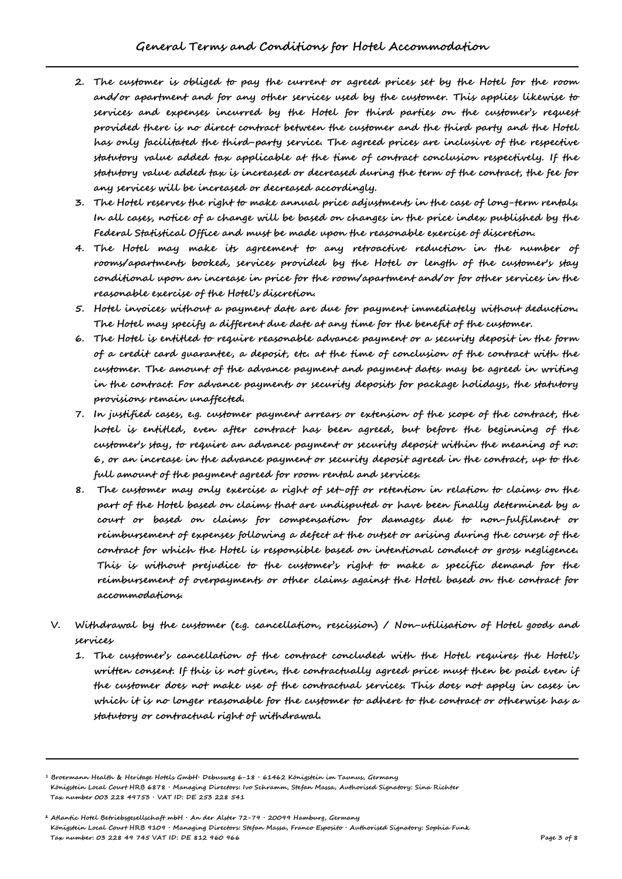- **2. The customer is obliged to pay the current or agreed prices set by the Hotel for the room and/or apartment and for any other services used by the customer. This applies likewise to services and expenses incurred by the Hotel for third parties on the customer's request provided there is no direct contract between the customer and the third party and the Hotel has only facilitated the third-party service. The agreed prices are inclusive of the respective statutory value added tax applicable at the time of contract conclusion respectively. If the statutory value added tax is increased or decreased during the term of the contract, the fee for any services will be increased or decreased accordingly.**
- **3. The Hotel reserves the right to make annual price adjustments in the case of long-term rentals. In all cases, notice of a change will be based on changes in the price index published by the Federal Statistical Office and must be made upon the reasonable exercise of discretion.**
- **4. The Hotel may make its agreement to any retroactive reduction in the number of rooms/apartments booked, services provided by the Hotel or length of the customer's stay conditional upon an increase in price for the room/apartment and/or for other services in the reasonable exercise of the Hotel's discretion.**
- **5. Hotel invoices without a payment date are due for payment immediately without deduction. The Hotel may specify a different due date at any time for the benefit of the customer.**
- **6. The Hotel is entitled to require reasonable advance payment or a security deposit in the form of a credit card guarantee, a deposit, etc. at the time of conclusion of the contract with the customer. The amount of the advance payment and payment dates may be agreed in writing in the contract. For advance payments or security deposits for package holidays, the statutory provisions remain unaffected.**
- **7. In justified cases, e.g. customer payment arrears or extension of the scope of the contract, the hotel is entitled, even after contract has been agreed, but before the beginning of the customer's stay, to require an advance payment or security deposit within the meaning of no. 6, or an increase in the advance payment or security deposit agreed in the contract, up to the full amount of the payment agreed for room rental and services.**
- **8. The customer may only exercise a right of set-off or retention in relation to claims on the part of the Hotel based on claims that are undisputed or have been finally determined by a court or based on claims for compensation for damages due to non-fulfilment or reimbursement of expenses following a defect at the outset or arising during the course of the contract for which the Hotel is responsible based on intentional conduct or gross negligence. This is without prejudice to the customer's right to make a specific demand for the reimbursement of overpayments or other claims against the Hotel based on the contract for accommodations.**
- **V. Withdrawal by the customer (e.g. cancellation, rescission) / Non-utilisation of Hotel goods and services**
	- **1. The customer's cancellation of the contract concluded with the Hotel requires the Hotel's written consent. If this is not given, the contractually agreed price must then be paid even if the customer does not make use of the contractual services. This does not apply in cases in which it is no longer reasonable for the customer to adhere to the contract or otherwise has a statutory or contractual right of withdrawal.**

**<sup>1</sup> Broermann Health & Heritage Hotels GmbH**¬ **Debusweg 6-18** ¬ **61462 Königstein im Taunus, Germany Königstein Local Court HRB 6878** ¬ **Managing Directors: Ivo Schramm, Stefan Massa, Authorised Signatory: Sina Richter Tax number 003 228 49753** ¬ **VAT ID: DE 253 228 541**

**² Atlantic Hotel Betriebsgesellschaft mbH** ¬ **An der Alster 72-79** ¬ **20099 Hamburg, Germany Königstein Local Court HRB 9109** ¬ **Managing Directors: Stefan Massa, Franco Esposito** ¬ **Authorised Signatory: Sophia Funk Tax number: 03 228 49 745 VAT ID: DE 812 960 966 Page 3 of 8**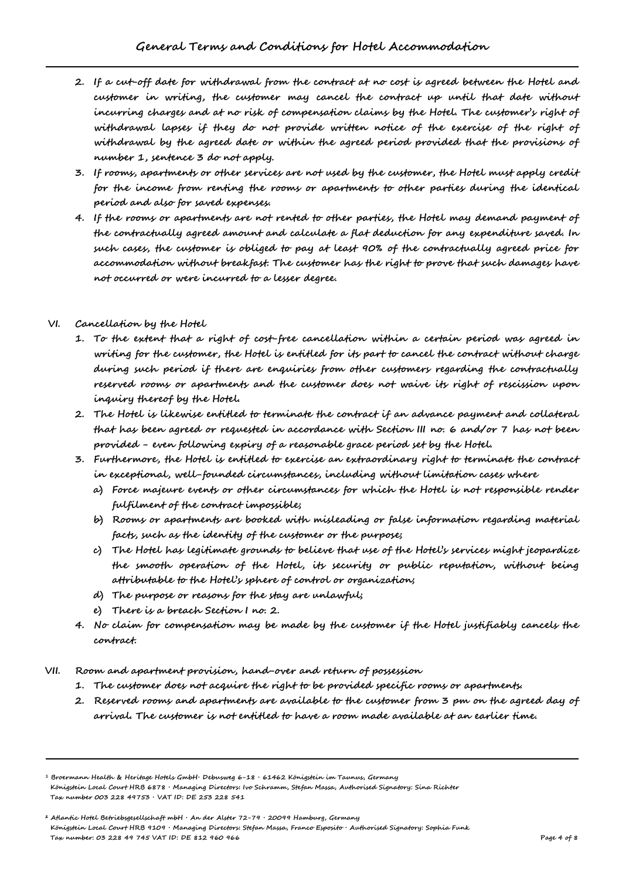- **2. If a cut-off date for withdrawal from the contract at no cost is agreed between the Hotel and customer in writing, the customer may cancel the contract up until that date without incurring charges and at no risk of compensation claims by the Hotel. The customer's right of withdrawal lapses if they do not provide written notice of the exercise of the right of withdrawal by the agreed date or within the agreed period provided that the provisions of number 1, sentence 3 do not apply.**
- **3. If rooms, apartments or other services are not used by the customer, the Hotel must apply credit for the income from renting the rooms or apartments to other parties during the identical period and also for saved expenses.**
- **4. If the rooms or apartments are not rented to other parties, the Hotel may demand payment of the contractually agreed amount and calculate a flat deduction for any expenditure saved. In such cases, the customer is obliged to pay at least 90% of the contractually agreed price for accommodation without breakfast. The customer has the right to prove that such damages have not occurred or were incurred to a lesser degree.**
- **VI. Cancellation by the Hotel**
	- **1. To the extent that a right of cost-free cancellation within a certain period was agreed in writing for the customer, the Hotel is entitled for its part to cancel the contract without charge during such period if there are enquiries from other customers regarding the contractually reserved rooms or apartments and the customer does not waive its right of rescission upon inquiry thereof by the Hotel.**
	- **2. The Hotel is likewise entitled to terminate the contract if an advance payment and collateral that has been agreed or requested in accordance with Section III no. 6 and/or 7 has not been provided - even following expiry of a reasonable grace period set by the Hotel.**
	- **3. Furthermore, the Hotel is entitled to exercise an extraordinary right to terminate the contract in exceptional, well-founded circumstances, including without limitation cases where**
		- **a) Force majeure events or other circumstances for which the Hotel is not responsible render fulfilment of the contract impossible;**
		- **b) Rooms or apartments are booked with misleading or false information regarding material facts, such as the identity of the customer or the purpose;**
		- **c) The Hotel has legitimate grounds to believe that use of the Hotel's services might jeopardize the smooth operation of the Hotel, its security or public reputation, without being attributable to the Hotel's sphere of control or organization;**
		- **d) The purpose or reasons for the stay are unlawful;**
		- **e) There is a breach Section I no. 2.**
	- **4. No claim for compensation may be made by the customer if the Hotel justifiably cancels the contract.**
- **VII. Room and apartment provision, hand-over and return of possession**
	- **1. The customer does not acquire the right to be provided specific rooms or apartments.**
	- **2. Reserved rooms and apartments are available to the customer from 3 pm on the agreed day of arrival. The customer is not entitled to have a room made available at an earlier time.**

**<sup>1</sup> Broermann Health & Heritage Hotels GmbH**¬ **Debusweg 6-18** ¬ **61462 Königstein im Taunus, Germany Königstein Local Court HRB 6878** ¬ **Managing Directors: Ivo Schramm, Stefan Massa, Authorised Signatory: Sina Richter Tax number 003 228 49753** ¬ **VAT ID: DE 253 228 541**

**² Atlantic Hotel Betriebsgesellschaft mbH** ¬ **An der Alster 72-79** ¬ **20099 Hamburg, Germany Königstein Local Court HRB 9109** ¬ **Managing Directors: Stefan Massa, Franco Esposito** ¬ **Authorised Signatory: Sophia Funk Tax number: 03 228 49 745 VAT ID: DE 812 960 966 Page 4 of 8**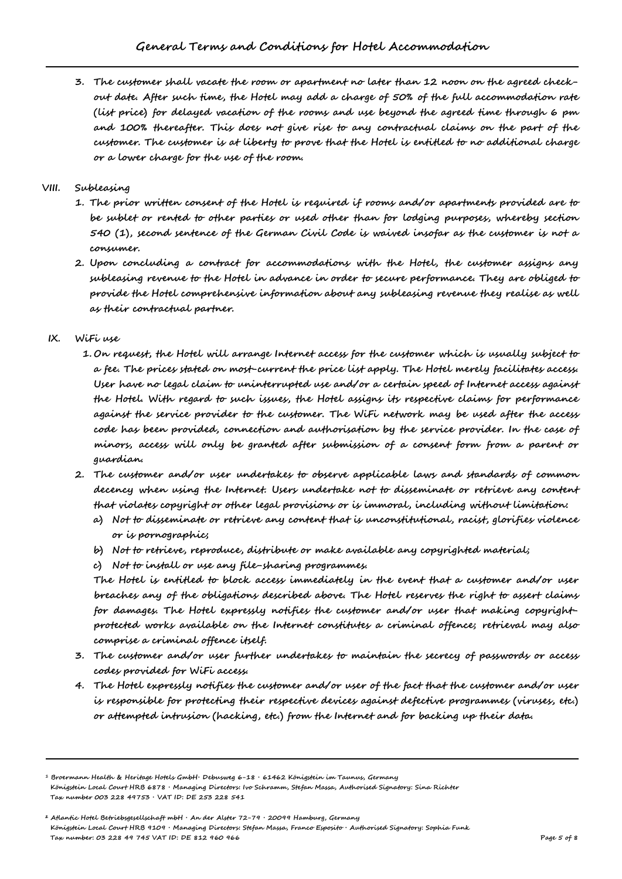**3. The customer shall vacate the room or apartment no later than 12 noon on the agreed checkout date. After such time, the Hotel may add a charge of 50% of the full accommodation rate (list price) for delayed vacation of the rooms and use beyond the agreed time through 6 pm and 100% thereafter. This does not give rise to any contractual claims on the part of the customer. The customer is at liberty to prove that the Hotel is entitled to no additional charge or a lower charge for the use of the room.**

## **VIII. Subleasing**

- **1. The prior written consent of the Hotel is required if rooms and/or apartments provided are to be sublet or rented to other parties or used other than for lodging purposes, whereby section 540 (1), second sentence of the German Civil Code is waived insofar as the customer is not a consumer.**
- **2. Upon concluding a contract for accommodations with the Hotel, the customer assigns any subleasing revenue to the Hotel in advance in order to secure performance. They are obliged to provide the Hotel comprehensive information about any subleasing revenue they realise as well as their contractual partner.**

# **IX. WiFi use**

- **1. On request, the Hotel will arrange Internet access for the customer which is usually subject to a fee. The prices stated on most-current the price list apply. The Hotel merely facilitates access. User have no legal claim to uninterrupted use and/or a certain speed of Internet access against the Hotel. With regard to such issues, the Hotel assigns its respective claims for performance against the service provider to the customer. The WiFi network may be used after the access code has been provided, connection and authorisation by the service provider. In the case of minors, access will only be granted after submission of a consent form from a parent or guardian.**
- **2. The customer and/or user undertakes to observe applicable laws and standards of common decency when using the Internet. Users undertake not to disseminate or retrieve any content that violates copyright or other legal provisions or is immoral, including without limitation:**
	- **a) Not to disseminate or retrieve any content that is unconstitutional, racist, glorifies violence or is pornographic;**
	- **b) Not to retrieve, reproduce, distribute or make available any copyrighted material;**
	- **c) Not to install or use any file-sharing programmes.**

**The Hotel is entitled to block access immediately in the event that a customer and/or user breaches any of the obligations described above. The Hotel reserves the right to assert claims for damages. The Hotel expressly notifies the customer and/or user that making copyrightprotected works available on the Internet constitutes a criminal offence; retrieval may also comprise a criminal offence itself.**

- **3. The customer and/or user further undertakes to maintain the secrecy of passwords or access codes provided for WiFi access.**
- **4. The Hotel expressly notifies the customer and/or user of the fact that the customer and/or user is responsible for protecting their respective devices against defective programmes (viruses, etc.) or attempted intrusion (hacking, etc.) from the Internet and for backing up their data.**

**<sup>1</sup> Broermann Health & Heritage Hotels GmbH**¬ **Debusweg 6-18** ¬ **61462 Königstein im Taunus, Germany Königstein Local Court HRB 6878** ¬ **Managing Directors: Ivo Schramm, Stefan Massa, Authorised Signatory: Sina Richter Tax number 003 228 49753** ¬ **VAT ID: DE 253 228 541**

**² Atlantic Hotel Betriebsgesellschaft mbH** ¬ **An der Alster 72-79** ¬ **20099 Hamburg, Germany Königstein Local Court HRB 9109** ¬ **Managing Directors: Stefan Massa, Franco Esposito** ¬ **Authorised Signatory: Sophia Funk Tax number: 03 228 49 745 VAT ID: DE 812 960 966 Page 5 of 8**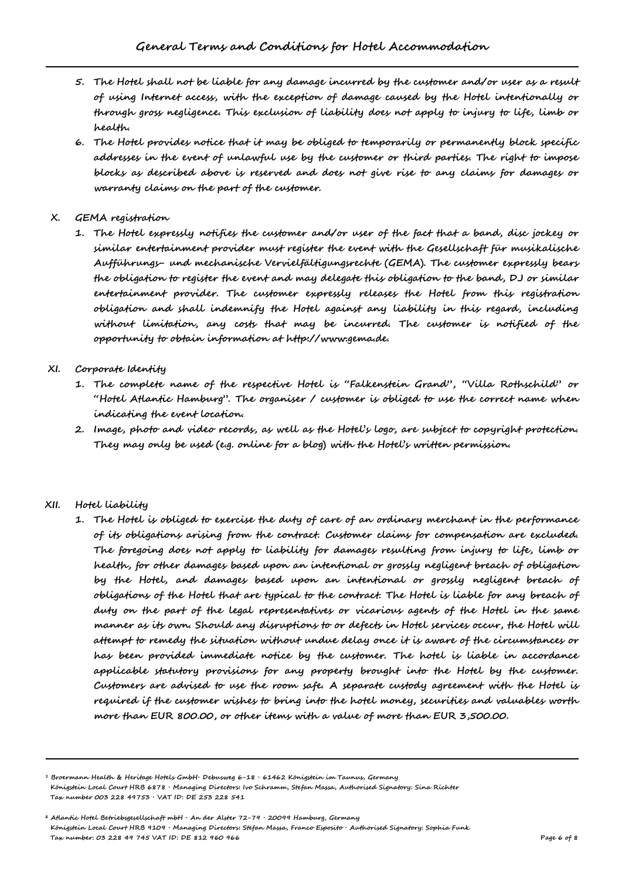- **5. The Hotel shall not be liable for any damage incurred by the customer and/or user as a result of using Internet access, with the exception of damage caused by the Hotel intentionally or through gross negligence. This exclusion of liability does not apply to injury to life, limb or health.**
- **6. The Hotel provides notice that it may be obliged to temporarily or permanently block specific addresses in the event of unlawful use by the customer or third parties. The right to impose blocks as described above is reserved and does not give rise to any claims for damages or warranty claims on the part of the customer.**

### **X. GEMA registration**

- **1. The Hotel expressly notifies the customer and/or user of the fact that a band, disc jockey or similar entertainment provider must register the event with the Gesellschaft für musikalische Aufführungs- und mechanische Vervielfältigungsrechte (GEMA). The customer expressly bears the obligation to register the event and may delegate this obligation to the band, DJ or similar entertainment provider. The customer expressly releases the Hotel from this registration obligation and shall indemnify the Hotel against any liability in this regard, including without limitation, any costs that may be incurred. The customer is notified of the opportunity to obtain information at http://www.gema.de.**
- **XI. Corporate Identity** 
	- **1. The complete name of the respective Hotel is "Falkenstein Grand", "Villa Rothschild" or "Hotel Atlantic Hamburg". The organiser / customer is obliged to use the correct name when indicating the event location.**
	- **2. Image, photo and video records, as well as the Hotel's logo, are subject to copyright protection. They may only be used (e.g. online for a blog) with the Hotel's written permission.**

#### **XII. Hotel liability**

**1. The Hotel is obliged to exercise the duty of care of an ordinary merchant in the performance of its obligations arising from the contract. Customer claims for compensation are excluded. The foregoing does not apply to liability for damages resulting from injury to life, limb or health, for other damages based upon an intentional or grossly negligent breach of obligation by the Hotel, and damages based upon an intentional or grossly negligent breach of obligations of the Hotel that are typical to the contract. The Hotel is liable for any breach of duty on the part of the legal representatives or vicarious agents of the Hotel in the same manner as its own. Should any disruptions to or defects in Hotel services occur, the Hotel will attempt to remedy the situation without undue delay once it is aware of the circumstances or has been provided immediate notice by the customer. The hotel is liable in accordance applicable statutory provisions for any property brought into the Hotel by the customer. Customers are advised to use the room safe. A separate custody agreement with the Hotel is required if the customer wishes to bring into the hotel money, securities and valuables worth more than EUR 800.00, or other items with a value of more than EUR 3,500.00.**

**<sup>1</sup> Broermann Health & Heritage Hotels GmbH**¬ **Debusweg 6-18** ¬ **61462 Königstein im Taunus, Germany Königstein Local Court HRB 6878** ¬ **Managing Directors: Ivo Schramm, Stefan Massa, Authorised Signatory: Sina Richter Tax number 003 228 49753** ¬ **VAT ID: DE 253 228 541**

**² Atlantic Hotel Betriebsgesellschaft mbH** ¬ **An der Alster 72-79** ¬ **20099 Hamburg, Germany Königstein Local Court HRB 9109** ¬ **Managing Directors: Stefan Massa, Franco Esposito** ¬ **Authorised Signatory: Sophia Funk Tax number: 03 228 49 745 VAT ID: DE 812 960 966 Page 6 of 8**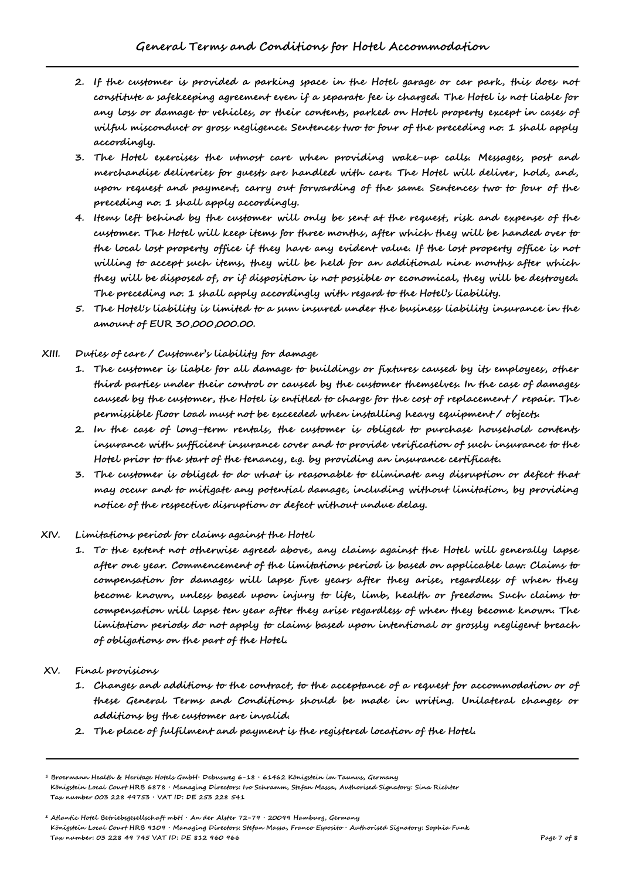- **2. If the customer is provided a parking space in the Hotel garage or car park, this does not constitute a safekeeping agreement even if a separate fee is charged. The Hotel is not liable for any loss or damage to vehicles, or their contents, parked on Hotel property except in cases of wilful misconduct or gross negligence. Sentences two to four of the preceding no. 1 shall apply accordingly.**
- **3. The Hotel exercises the utmost care when providing wake-up calls. Messages, post and merchandise deliveries for guests are handled with care. The Hotel will deliver, hold, and, upon request and payment, carry out forwarding of the same. Sentences two to four of the preceding no. 1 shall apply accordingly.**
- **4. Items left behind by the customer will only be sent at the request, risk and expense of the customer. The Hotel will keep items for three months, after which they will be handed over to the local lost property office if they have any evident value. If the lost property office is not willing to accept such items, they will be held for an additional nine months after which they will be disposed of, or if disposition is not possible or economical, they will be destroyed. The preceding no. 1 shall apply accordingly with regard to the Hotel's liability.**
- **5. The Hotel's liability is limited to a sum insured under the business liability insurance in the amount of EUR 30,000,000.00.**
- **XIII. Duties of care / Customer's liability for damage**
	- **1. The customer is liable for all damage to buildings or fixtures caused by its employees, other third parties under their control or caused by the customer themselves. In the case of damages caused by the customer, the Hotel is entitled to charge for the cost of replacement / repair. The permissible floor load must not be exceeded when installing heavy equipment / objects.**
	- **2. In the case of long-term rentals, the customer is obliged to purchase household contents insurance with sufficient insurance cover and to provide verification of such insurance to the Hotel prior to the start of the tenancy, e.g. by providing an insurance certificate.**
	- **3. The customer is obliged to do what is reasonable to eliminate any disruption or defect that may occur and to mitigate any potential damage, including without limitation, by providing notice of the respective disruption or defect without undue delay.**

### **XIV. Limitations period for claims against the Hotel**

- **1. To the extent not otherwise agreed above, any claims against the Hotel will generally lapse after one year. Commencement of the limitations period is based on applicable law. Claims to compensation for damages will lapse five years after they arise, regardless of when they become known, unless based upon injury to life, limb, health or freedom. Such claims to compensation will lapse ten year after they arise regardless of when they become known. The limitation periods do not apply to claims based upon intentional or grossly negligent breach of obligations on the part of the Hotel.**
- **XV. Final provisions**
	- **1. Changes and additions to the contract, to the acceptance of a request for accommodation or of these General Terms and Conditions should be made in writing. Unilateral changes or additions by the customer are invalid.**
	- **2. The place of fulfilment and payment is the registered location of the Hotel.**

**<sup>1</sup> Broermann Health & Heritage Hotels GmbH**¬ **Debusweg 6-18** ¬ **61462 Königstein im Taunus, Germany Königstein Local Court HRB 6878** ¬ **Managing Directors: Ivo Schramm, Stefan Massa, Authorised Signatory: Sina Richter Tax number 003 228 49753** ¬ **VAT ID: DE 253 228 541**

**² Atlantic Hotel Betriebsgesellschaft mbH** ¬ **An der Alster 72-79** ¬ **20099 Hamburg, Germany Königstein Local Court HRB 9109** ¬ **Managing Directors: Stefan Massa, Franco Esposito** ¬ **Authorised Signatory: Sophia Funk Tax number: 03 228 49 745 VAT ID: DE 812 960 966 Page 7 of 8**